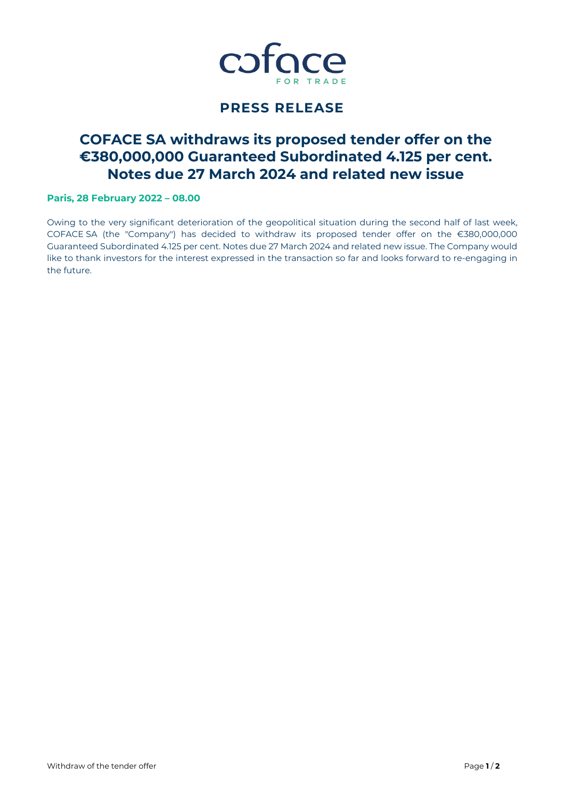

# **PRESS RELEASE**

# **COFACE SA withdraws its proposed tender offer on the €380,000,000 Guaranteed Subordinated 4.125 per cent. Notes due 27 March 2024 and related new issue**

# **Paris, 28 February 2022 – 08.00**

Owing to the very significant deterioration of the geopolitical situation during the second half of last week, COFACE SA (the "Company") has decided to withdraw its proposed tender offer on the €380,000,000 Guaranteed Subordinated 4.125 per cent. Notes due 27 March 2024 and related new issue. The Company would like to thank investors for the interest expressed in the transaction so far and looks forward to re-engaging in the future.